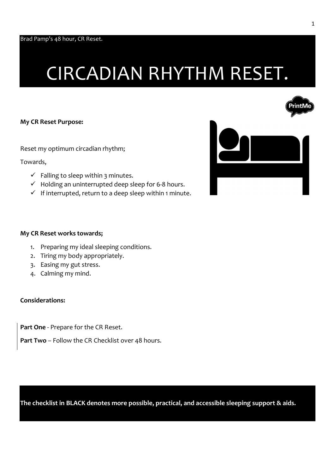# CIRCADIAN RHYTHM RESET.



Reset my optimum circadian rhythm;

Towards,

- $\checkmark$  Falling to sleep within 3 minutes.
- $\checkmark$  Holding an uninterrupted deep sleep for 6-8 hours.
- $\checkmark$  If interrupted, return to a deep sleep within 1 minute.



#### My CR Reset works towards;

- 1. Preparing my ideal sleeping conditions.
- 2. Tiring my body appropriately.
- 3. Easing my gut stress.
- 4. Calming my mind.

#### Considerations:

Part One - Prepare for the CR Reset.

Part Two - Follow the CR Checklist over 48 hours.

The checklist in BLACK denotes more possible, practical, and accessible sleeping support & aids.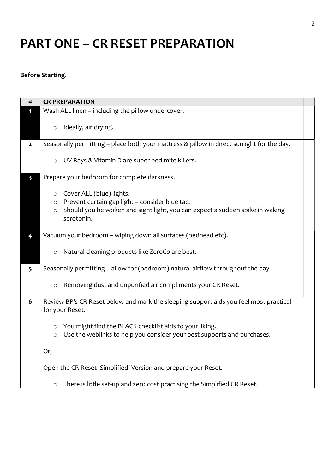## PART ONE – CR RESET PREPARATION

### Before Starting.

| #                       | <b>CR PREPARATION</b>                                                                                                                                                                               |  |
|-------------------------|-----------------------------------------------------------------------------------------------------------------------------------------------------------------------------------------------------|--|
|                         | Wash ALL linen - including the pillow undercover.                                                                                                                                                   |  |
|                         | Ideally, air drying.<br>$\circ$                                                                                                                                                                     |  |
| $\overline{2}$          | Seasonally permitting - place both your mattress & pillow in direct sunlight for the day.                                                                                                           |  |
|                         | UV Rays & Vitamin D are super bed mite killers.<br>$\circ$                                                                                                                                          |  |
| $\overline{\mathbf{3}}$ | Prepare your bedroom for complete darkness.                                                                                                                                                         |  |
|                         | Cover ALL (blue) lights.<br>$\circ$<br>Prevent curtain gap light - consider blue tac.<br>$\circ$<br>Should you be woken and sight light, you can expect a sudden spike in waking<br>O<br>serotonin. |  |
| 4                       | Vacuum your bedroom - wiping down all surfaces (bedhead etc).                                                                                                                                       |  |
|                         | Natural cleaning products like ZeroCo are best.<br>O                                                                                                                                                |  |
| 5                       | Seasonally permitting - allow for (bedroom) natural airflow throughout the day.                                                                                                                     |  |
|                         | Removing dust and unpurified air compliments your CR Reset.<br>$\circ$                                                                                                                              |  |
| 6                       | Review BP's CR Reset below and mark the sleeping support aids you feel most practical                                                                                                               |  |
|                         | for your Reset.                                                                                                                                                                                     |  |
|                         | You might find the BLACK checklist aids to your liking.<br>O<br>Use the weblinks to help you consider your best supports and purchases.<br>$\circ$                                                  |  |
|                         | Or,                                                                                                                                                                                                 |  |
|                         | Open the CR Reset 'Simplified' Version and prepare your Reset.                                                                                                                                      |  |
|                         | There is little set-up and zero cost practising the Simplified CR Reset.<br>$\circ$                                                                                                                 |  |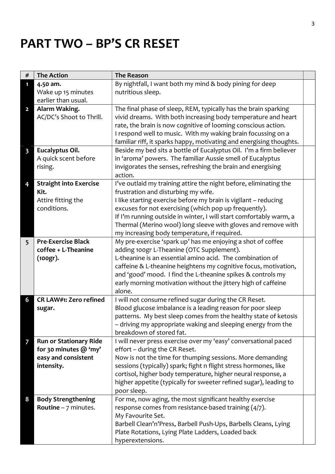## PART TWO – BP'S CR RESET

| $\#$                    | <b>The Action</b>             | <b>The Reason</b>                                                       |  |
|-------------------------|-------------------------------|-------------------------------------------------------------------------|--|
| 1                       | 4.50 am.                      | By nightfall, I want both my mind & body pining for deep                |  |
|                         | Wake up 15 minutes            | nutritious sleep.                                                       |  |
|                         | earlier than usual.           |                                                                         |  |
| $\overline{2}$          | Alarm Waking.                 | The final phase of sleep, REM, typically has the brain sparking         |  |
|                         | AC/DC's Shoot to Thrill.      | vivid dreams. With both increasing body temperature and heart           |  |
|                         |                               | rate, the brain is now cognitive of looming conscious action.           |  |
|                         |                               | I respond well to music. With my waking brain focussing on a            |  |
|                         |                               | familiar riff, it sparks happy, motivating and energising thoughts.     |  |
| $\overline{\mathbf{3}}$ | Eucalyptus Oil.               | Beside my bed sits a bottle of Eucalyptus Oil. I'm a firm believer      |  |
|                         | A quick scent before          | in 'aroma' powers. The familiar Aussie smell of Eucalyptus              |  |
|                         | rising.                       | invigorates the senses, refreshing the brain and energising             |  |
|                         |                               | action.                                                                 |  |
| 4                       | <b>Straight into Exercise</b> | I've outlaid my training attire the night before, eliminating the       |  |
|                         | Kit.                          | frustration and disturbing my wife.                                     |  |
|                         | Attire fitting the            | I like starting exercise before my brain is vigilant - reducing         |  |
|                         | conditions.                   | excuses for not exercising (which pop up frequently).                   |  |
|                         |                               | If I'm running outside in winter, I will start comfortably warm, a      |  |
|                         |                               | Thermal (Merino wool) long sleeve with gloves and remove with           |  |
|                         |                               | my increasing body temperature, if required.                            |  |
| 5 <sup>5</sup>          | <b>Pre-Exercise Black</b>     | My pre-exercise 'spark up' has me enjoying a shot of coffee             |  |
|                         | coffee + L-Theanine           | adding 100gr L-Theanine (OTC Supplement).                               |  |
|                         | (100gr).                      | L-theanine is an essential amino acid. The combination of               |  |
|                         |                               | caffeine & L-theanine heightens my cognitive focus, motivation,         |  |
|                         |                               | and 'good' mood. I find the L-theanine spikes & controls my             |  |
|                         |                               | early morning motivation without the jittery high of caffeine<br>alone. |  |
| 6                       | CR LAW#1: Zero refined        | I will not consume refined sugar during the CR Reset.                   |  |
|                         | sugar.                        | Blood glucose imbalance is a leading reason for poor sleep              |  |
|                         |                               | patterns. My best sleep comes from the healthy state of ketosis         |  |
|                         |                               | - driving my appropriate waking and sleeping energy from the            |  |
|                         |                               | breakdown of stored fat.                                                |  |
| $\overline{7}$          | <b>Run or Stationary Ride</b> | I will never press exercise over my 'easy' conversational paced         |  |
|                         | for 30 minutes @ 'my'         | effort - during the CR Reset.                                           |  |
|                         | easy and consistent           | Now is not the time for thumping sessions. More demanding               |  |
|                         | intensity.                    | sessions (typically) spark; fight n flight stress hormones, like        |  |
|                         |                               | cortisol, higher body temperature, higher neural response, a            |  |
|                         |                               | higher appetite (typically for sweeter refined sugar), leading to       |  |
|                         |                               | poor sleep.                                                             |  |
| 8                       | <b>Body Strengthening</b>     | For me, now aging, the most significant healthy exercise                |  |
|                         | <b>Routine</b> $-7$ minutes.  | response comes from resistance-based training (4/7).                    |  |
|                         |                               | My Favourite Set.                                                       |  |
|                         |                               | Barbell Clean'n'Press, Barbell Push-Ups, Barbells Cleans, Lying         |  |
|                         |                               | Plate Rotations, Lying Plate Ladders, Loaded back                       |  |
|                         |                               | hyperextensions.                                                        |  |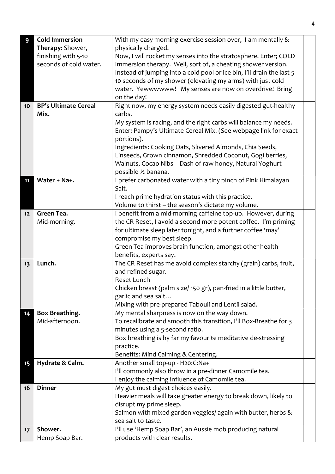| 9  | <b>Cold Immersion</b>       | With my easy morning exercise session over, I am mentally &            |
|----|-----------------------------|------------------------------------------------------------------------|
|    | Therapy: Shower,            | physically charged.                                                    |
|    | finishing with 5-10         | Now, I will rocket my senses into the stratosphere. Enter; COLD        |
|    | seconds of cold water.      | Immersion therapy. Well, sort of, a cheating shower version.           |
|    |                             | Instead of jumping into a cold pool or ice bin, I'll drain the last 5- |
|    |                             | 10 seconds of my shower (elevating my arms) with just cold             |
|    |                             | water. Yewwwwww! My senses are now on overdrive! Bring                 |
|    |                             | on the day!                                                            |
| 10 | <b>BP's Ultimate Cereal</b> | Right now, my energy system needs easily digested gut-healthy          |
|    | Mix.                        | carbs.                                                                 |
|    |                             | My system is racing, and the right carbs will balance my needs.        |
|    |                             | Enter: Pampy's Ultimate Cereal Mix. (See webpage link for exact        |
|    |                             | portions).                                                             |
|    |                             | Ingredients: Cooking Oats, Slivered Almonds, Chia Seeds,               |
|    |                             | Linseeds, Grown cinnamon, Shredded Coconut, Gogi berries,              |
|    |                             | Walnuts, Cocao Nibs - Dash of raw honey, Natural Yoghurt -             |
|    |                             | possible 1/2 banana.                                                   |
| 11 | Water + Na+.                | I prefer carbonated water with a tiny pinch of Pink Himalayan          |
|    |                             | Salt.                                                                  |
|    |                             | I reach prime hydration status with this practice.                     |
|    |                             | Volume to thirst - the season's dictate my volume.                     |
| 12 | Green Tea.                  | I benefit from a mid-morning caffeine top-up. However, during          |
|    | Mid-morning.                | the CR Reset, I avoid a second more potent coffee. I'm priming         |
|    |                             | for ultimate sleep later tonight, and a further coffee 'may'           |
|    |                             | compromise my best sleep.                                              |
|    |                             | Green Tea improves brain function, amongst other health                |
|    |                             | benefits, experts say.                                                 |
| 13 | Lunch.                      | The CR Reset has me avoid complex starchy (grain) carbs, fruit,        |
|    |                             | and refined sugar.                                                     |
|    |                             | Reset Lunch                                                            |
|    |                             | Chicken breast (palm size/150 gr), pan-fried in a little butter,       |
|    |                             | garlic and sea salt                                                    |
|    |                             | Mixing with pre-prepared Tabouli and Lentil salad.                     |
| 14 | Box Breathing.              | My mental sharpness is now on the way down.                            |
|    | Mid-afternoon.              | To recalibrate and smooth this transition, I'll Box-Breathe for 3      |
|    |                             | minutes using a 5-second ratio.                                        |
|    |                             | Box breathing is by far my favourite meditative de-stressing           |
|    |                             | practice.                                                              |
|    |                             | Benefits: Mind Calming & Centering.                                    |
| 15 | Hydrate & Calm.             | Another small top-up - H2o:C:Na+                                       |
|    |                             | I'll commonly also throw in a pre-dinner Camomile tea.                 |
|    |                             | I enjoy the calming influence of Camomile tea.                         |
| 16 | <b>Dinner</b>               | My gut must digest choices easily.                                     |
|    |                             | Heavier meals will take greater energy to break down, likely to        |
|    |                             | disrupt my prime sleep.                                                |
|    |                             | Salmon with mixed garden veggies/ again with butter, herbs &           |
|    |                             | sea salt to taste.                                                     |
| 17 | Shower.                     | I'll use 'Hemp Soap Bar', an Aussie mob producing natural              |
|    | Hemp Soap Bar.              | products with clear results.                                           |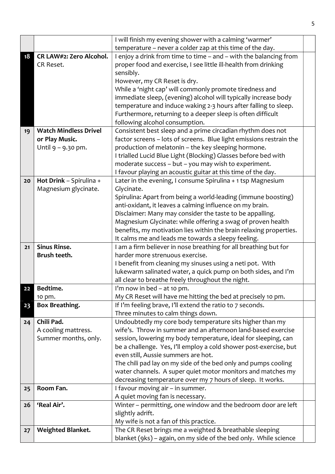|    |                              | I will finish my evening shower with a calming 'warmer'                                                                  |  |
|----|------------------------------|--------------------------------------------------------------------------------------------------------------------------|--|
|    |                              | temperature - never a colder zap at this time of the day.                                                                |  |
| 18 | CR LAW#2: Zero Alcohol.      | I enjoy a drink from time to time - and - with the balancing from                                                        |  |
|    | CR Reset.                    | proper food and exercise, I see little ill-health from drinking                                                          |  |
|    |                              | sensibly.                                                                                                                |  |
|    |                              | However, my CR Reset is dry.                                                                                             |  |
|    |                              | While a 'night cap' will commonly promote tiredness and                                                                  |  |
|    |                              | immediate sleep, (evening) alcohol will typically increase body                                                          |  |
|    |                              | temperature and induce waking 2-3 hours after falling to sleep.                                                          |  |
|    |                              | Furthermore, returning to a deeper sleep is often difficult                                                              |  |
|    |                              | following alcohol consumption.                                                                                           |  |
| 19 | <b>Watch Mindless Drivel</b> | Consistent best sleep and a prime circadian rhythm does not                                                              |  |
|    | or Play Music.               | factor screens - lots of screens. Blue light emissions restrain the                                                      |  |
|    | Until 9 - 9.30 pm.           | production of melatonin - the key sleeping hormone.                                                                      |  |
|    |                              | I trialled Lucid Blue Light (Blocking) Glasses before bed with                                                           |  |
|    |                              | moderate success - but - you may wish to experiment.                                                                     |  |
|    |                              | I favour playing an acoustic guitar at this time of the day.                                                             |  |
| 20 | Hot Drink - Spirulina +      | Later in the evening, I consume Spirulina + 1 tsp Magnesium                                                              |  |
|    | Magnesium glycinate.         | Glycinate.                                                                                                               |  |
|    |                              | Spirulina: Apart from being a world-leading (immune boosting)                                                            |  |
|    |                              | anti-oxidant, it leaves a calming influence on my brain.                                                                 |  |
|    |                              | Disclaimer: Many may consider the taste to be appalling.                                                                 |  |
|    |                              | Magnesium Glycinate: while offering a swag of proven health                                                              |  |
|    |                              | benefits, my motivation lies within the brain relaxing properties.<br>It calms me and leads me towards a sleepy feeling. |  |
| 21 | <b>Sinus Rinse.</b>          | I am a firm believer in nose breathing for all breathing but for                                                         |  |
|    | Brush teeth.                 | harder more strenuous exercise.                                                                                          |  |
|    |                              | I benefit from cleaning my sinuses using a neti pot. With                                                                |  |
|    |                              | lukewarm salinated water, a quick pump on both sides, and I'm                                                            |  |
|    |                              | all clear to breathe freely throughout the night.                                                                        |  |
| 22 | Bedtime.                     | I'm now in bed $-$ at 10 pm.                                                                                             |  |
|    | 10 pm.                       | My CR Reset will have me hitting the bed at precisely 10 pm.                                                             |  |
| 23 | Box Breathing.               | If I'm feeling brave, I'll extend the ratio to 7 seconds.                                                                |  |
|    |                              | Three minutes to calm things down.                                                                                       |  |
| 24 | Chili Pad.                   | Undoubtedly my core body temperature sits higher than my                                                                 |  |
|    | A cooling mattress.          | wife's. Throw in summer and an afternoon land-based exercise                                                             |  |
|    | Summer months, only.         | session, lowering my body temperature, ideal for sleeping, can                                                           |  |
|    |                              | be a challenge. Yes, I'll employ a cold shower post-exercise, but                                                        |  |
|    |                              | even still, Aussie summers are hot.                                                                                      |  |
|    |                              | The chili pad lay on my side of the bed only and pumps cooling                                                           |  |
|    |                              | water channels. A super quiet motor monitors and matches my                                                              |  |
|    |                              | decreasing temperature over my 7 hours of sleep. It works.                                                               |  |
| 25 | Room Fan.                    | I favour moving air - in summer.                                                                                         |  |
|    |                              | A quiet moving fan is necessary.                                                                                         |  |
| 26 | 'Real Air'.                  | Winter - permitting, one window and the bedroom door are left                                                            |  |
|    |                              | slightly adrift.                                                                                                         |  |
|    |                              | My wife is not a fan of this practice.                                                                                   |  |
| 27 | Weighted Blanket.            | The CR Reset brings me a weighted & breathable sleeping                                                                  |  |
|    |                              | blanket (9ks) - again, on my side of the bed only. While science                                                         |  |